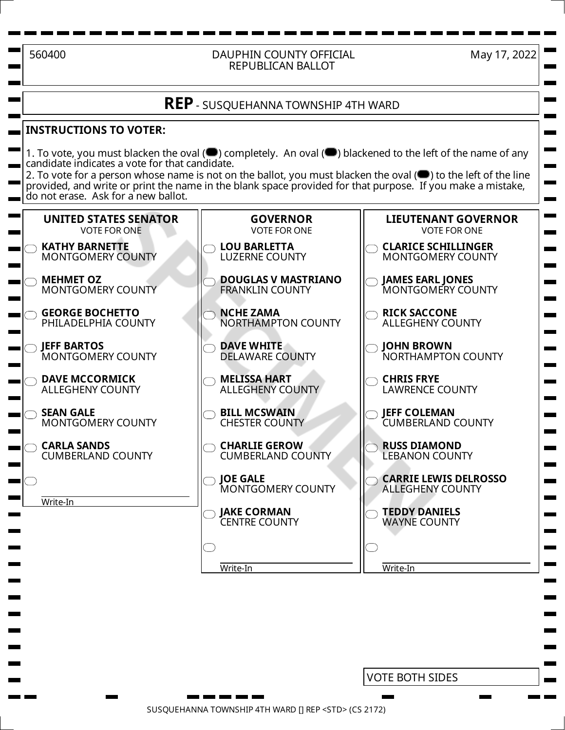## 560400 DAUPHIN COUNTY OFFICIAL REPUBLICAN BALLOT

## **REP**- SUSQUEHANNA TOWNSHIP 4TH WARD

## **INSTRUCTIONS TO VOTER:**

1. To vote, you must blacken the oval (●) completely. An oval (●) blackened to the left of the name of any candidate indicates a vote for that candidate.

2. To vote for a person whose name is not on the ballot, you must blacken the oval  $($ **)** to the left of the line provided, and write or print the name in the blank space provided for that purpose. If you make a mistake, do not erase. Ask for a new ballot.



VOTE BOTH SIDES